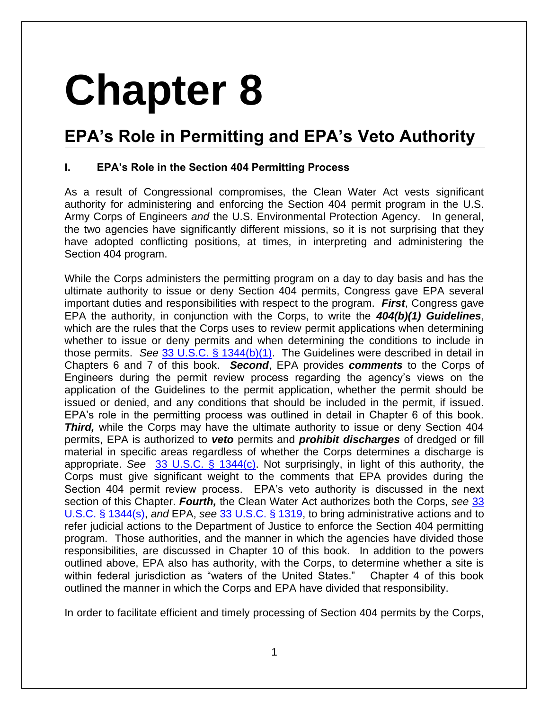# **Chapter 8**

# **EPA's Role in Permitting and EPA's Veto Authority**

#### **I. EPA's Role in the Section 404 Permitting Process**

As a result of Congressional compromises, the Clean Water Act vests significant authority for administering and enforcing the Section 404 permit program in the U.S. Army Corps of Engineers *and* the U.S. Environmental Protection Agency. In general, the two agencies have significantly different missions, so it is not surprising that they have adopted conflicting positions, at times, in interpreting and administering the Section 404 program.

While the Corps administers the permitting program on a day to day basis and has the ultimate authority to issue or deny Section 404 permits, Congress gave EPA several important duties and responsibilities with respect to the program. *First*, Congress gave EPA the authority, in conjunction with the Corps, to write the *404(b)(1) Guidelines*, which are the rules that the Corps uses to review permit applications when determining whether to issue or deny permits and when determining the conditions to include in those permits. *See* [33 U.S.C. § 1344\(b\)\(1\).](http://www.law.cornell.edu/uscode/text/33/1344) The Guidelines were described in detail in Chapters 6 and 7 of this book. *Second*, EPA provides *comments* to the Corps of Engineers during the permit review process regarding the agency's views on the application of the Guidelines to the permit application, whether the permit should be issued or denied, and any conditions that should be included in the permit, if issued. EPA's role in the permitting process was outlined in detail in Chapter 6 of this book. *Third,* while the Corps may have the ultimate authority to issue or deny Section 404 permits, EPA is authorized to *veto* permits and *prohibit discharges* of dredged or fill material in specific areas regardless of whether the Corps determines a discharge is appropriate. *See* [33 U.S.C. § 1344\(c\).](http://www.law.cornell.edu/uscode/text/33/1344) Not surprisingly, in light of this authority, the Corps must give significant weight to the comments that EPA provides during the Section 404 permit review process. EPA's veto authority is discussed in the next section of this Chapter. *Fourth,* the Clean Water Act authorizes both the Corps, *see* [33](http://www.law.cornell.edu/uscode/text/33/1344)  [U.S.C. § 1344\(s\),](http://www.law.cornell.edu/uscode/text/33/1344) *and* EPA, *see* [33 U.S.C. § 1319,](http://www.law.cornell.edu/uscode/text/33/1319) to bring administrative actions and to refer judicial actions to the Department of Justice to enforce the Section 404 permitting program. Those authorities, and the manner in which the agencies have divided those responsibilities, are discussed in Chapter 10 of this book. In addition to the powers outlined above, EPA also has authority, with the Corps, to determine whether a site is within federal jurisdiction as "waters of the United States." Chapter 4 of this book outlined the manner in which the Corps and EPA have divided that responsibility.

In order to facilitate efficient and timely processing of Section 404 permits by the Corps,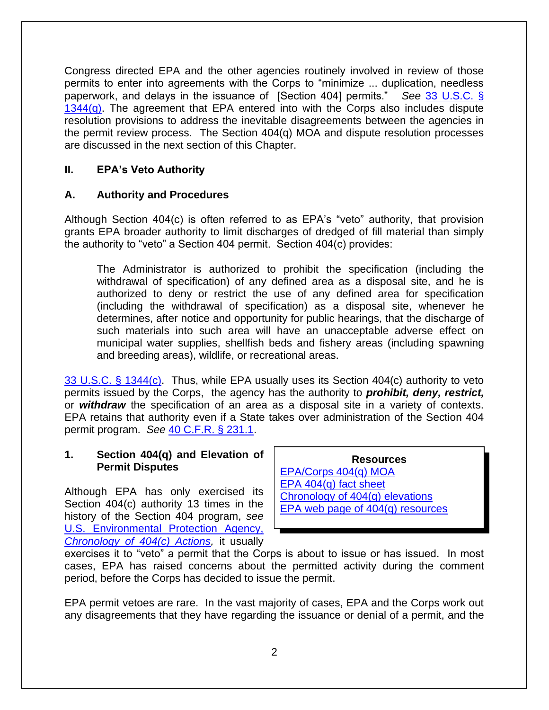Congress directed EPA and the other agencies routinely involved in review of those permits to enter into agreements with the Corps to "minimize ... duplication, needless paperwork, and delays in the issuance of [Section 404] permits." *See* [33 U.S.C. §](http://www.law.cornell.edu/uscode/text/33/1344)  [1344\(q\).](http://www.law.cornell.edu/uscode/text/33/1344) The agreement that EPA entered into with the Corps also includes dispute resolution provisions to address the inevitable disagreements between the agencies in the permit review process. The Section 404(q) MOA and dispute resolution processes are discussed in the next section of this Chapter.

#### **II. EPA's Veto Authority**

#### **A. Authority and Procedures**

Although Section 404(c) is often referred to as EPA's "veto" authority, that provision grants EPA broader authority to limit discharges of dredged of fill material than simply the authority to "veto" a Section 404 permit. Section 404(c) provides:

The Administrator is authorized to prohibit the specification (including the withdrawal of specification) of any defined area as a disposal site, and he is authorized to deny or restrict the use of any defined area for specification (including the withdrawal of specification) as a disposal site, whenever he determines, after notice and opportunity for public hearings, that the discharge of such materials into such area will have an unacceptable adverse effect on municipal water supplies, shellfish beds and fishery areas (including spawning and breeding areas), wildlife, or recreational areas.

[33 U.S.C. § 1344\(c\).](http://www.law.cornell.edu/uscode/text/33/1344) Thus, while EPA usually uses its Section 404(c) authority to veto permits issued by the Corps, the agency has the authority to *prohibit, deny, restrict,*  or *withdraw* the specification of an area as a disposal site in a variety of contexts. EPA retains that authority even if a State takes over administration of the Section 404 permit program. *See* [40 C.F.R. § 231.1.](http://www.law.cornell.edu/cfr/text/40/231.1)

#### **1. Section 404(q) and Elevation of Permit Disputes**

Although EPA has only exercised its Section 404(c) authority 13 times in the history of the Section 404 program, *see* [U.S. Environmental Protection Agency,](https://www.epa.gov/cwa-404/chronology-cwa-section-404q-actions)  *[Chronology of 404\(c\) Actions,](https://www.epa.gov/cwa-404/chronology-cwa-section-404q-actions)* it usually

**Resources** [EPA/Corps 404\(q\) MOA](https://www.epa.gov/cwa-404/cwa-section-404q-memorandum-agreement-between-epa-and-department-army-text)  [EPA 404\(q\) fact sheet](https://www.epa.gov/sites/default/files/2016-03/documents/404q_factsheet.pdf) [Chronology of 404\(q\) elevations](https://www.epa.gov/cwa-404/chronology-cwa-section-404q-actions)  [EPA web page of 404\(q\) resources](https://www.epa.gov/cwa-404/dispute-resolution-under-cwa-section-404q)

exercises it to "veto" a permit that the Corps is about to issue or has issued. In most cases, EPA has raised concerns about the permitted activity during the comment period, before the Corps has decided to issue the permit.

EPA permit vetoes are rare. In the vast majority of cases, EPA and the Corps work out any disagreements that they have regarding the issuance or denial of a permit, and the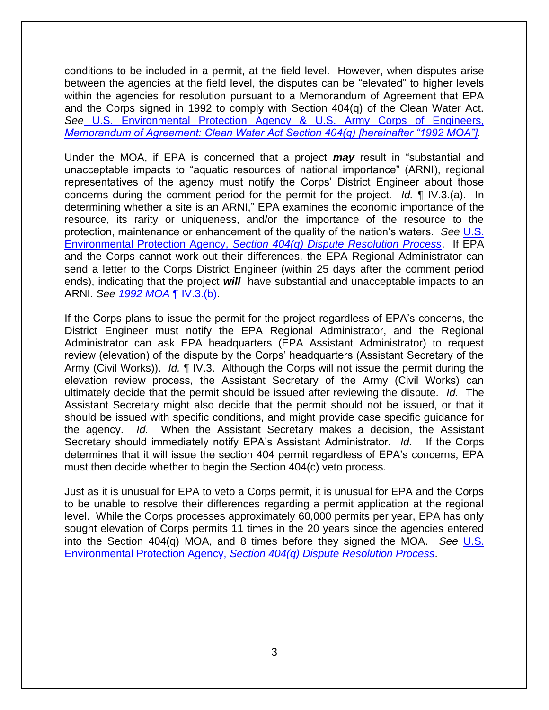conditions to be included in a permit, at the field level. However, when disputes arise between the agencies at the field level, the disputes can be "elevated" to higher levels within the agencies for resolution pursuant to a Memorandum of Agreement that EPA and the Corps signed in 1992 to comply with Section 404(q) of the Clean Water Act. *See* [U.S. Environmental Protection Agency &](http://www.epa.gov/cwa%20404/clean%20water%20act%20section%20404qmemorandum%20agreement) U.S. Army Corps of Engineers, *[Memorandum of Agreement: Clean Water Act Section 404\(q\) \[hereinafter "1992 MOA"\].](http://www.epa.gov/cwa%20404/clean%20water%20act%20section%20404qmemorandum%20agreement)* 

Under the MOA, if EPA is concerned that a project *may* result in "substantial and unacceptable impacts to "aquatic resources of national importance" (ARNI), regional representatives of the agency must notify the Corps' District Engineer about those concerns during the comment period for the permit for the project. *Id.* ¶ IV.3.(a). In determining whether a site is an ARNI," EPA examines the economic importance of the resource, its rarity or uniqueness, and/or the importance of the resource to the protection, maintenance or enhancement of the quality of the nation's waters. *See* [U.S.](https://www.epa.gov/cwa-404/dispute-resolution-under-cwa-section-404q)  Environmental Protection Agency, *[Section 404\(q\) Dispute Resolution Process](https://www.epa.gov/cwa-404/dispute-resolution-under-cwa-section-404q)*. If EPA and the Corps cannot work out their differences, the EPA Regional Administrator can send a letter to the Corps District Engineer (within 25 days after the comment period ends), indicating that the project *will* have substantial and unacceptable impacts to an ARNI. *See [1992 MOA](https://www.epa.gov/cwa-404/cwa-section-404q-memorandum-agreement-between-epa-and-department-army-text)* ¶ IV.3.(b).

If the Corps plans to issue the permit for the project regardless of EPA's concerns, the District Engineer must notify the EPA Regional Administrator, and the Regional Administrator can ask EPA headquarters (EPA Assistant Administrator) to request review (elevation) of the dispute by the Corps' headquarters (Assistant Secretary of the Army (Civil Works)). *Id.* ¶ IV.3. Although the Corps will not issue the permit during the elevation review process, the Assistant Secretary of the Army (Civil Works) can ultimately decide that the permit should be issued after reviewing the dispute. *Id.* The Assistant Secretary might also decide that the permit should not be issued, or that it should be issued with specific conditions, and might provide case specific guidance for the agency. *Id.* When the Assistant Secretary makes a decision, the Assistant Secretary should immediately notify EPA's Assistant Administrator. *Id.* If the Corps determines that it will issue the section 404 permit regardless of EPA's concerns, EPA must then decide whether to begin the Section 404(c) veto process.

Just as it is unusual for EPA to veto a Corps permit, it is unusual for EPA and the Corps to be unable to resolve their differences regarding a permit application at the regional level. While the Corps processes approximately 60,000 permits per year, EPA has only sought elevation of Corps permits 11 times in the 20 years since the agencies entered into the Section 404(q) MOA, and 8 times before they signed the MOA. *See* [U.S.](https://www.epa.gov/cwa-404/dispute-resolution-under-cwa-section-404q)  Environmental Protection Agency, *[Section 404\(q\) Dispute Resolution Process](https://www.epa.gov/cwa-404/dispute-resolution-under-cwa-section-404q)*.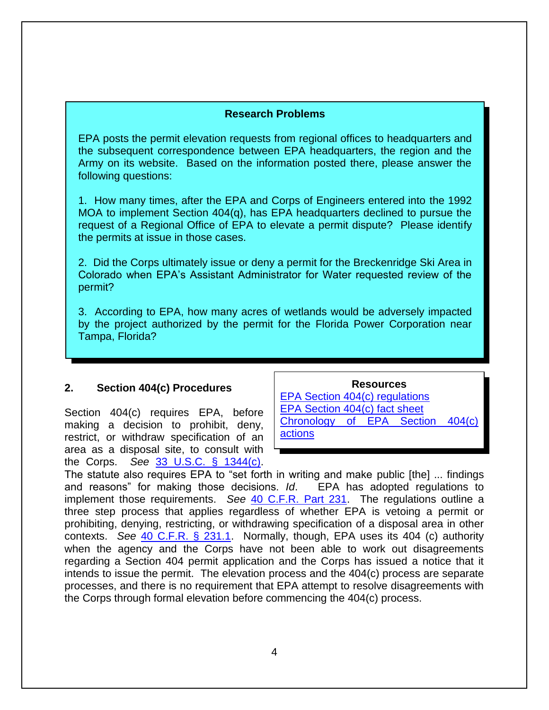#### **Research Problems**

EPA posts the permit elevation requests from regional offices to headquarters and the subsequent correspondence between EPA headquarters, the region and the Army on its website. Based on the information posted there, please answer the following questions:

1. How many times, after the EPA and Corps of Engineers entered into the 1992 MOA to implement Section 404(q), has EPA headquarters declined to pursue the request of a Regional Office of EPA to elevate a permit dispute? Please identify the permits at issue in those cases.

2. Did the Corps ultimately issue or deny a permit for the Breckenridge Ski Area in Colorado when EPA's Assistant Administrator for Water requested review of the permit?

3. According to EPA, how many acres of wetlands would be adversely impacted by the project authorized by the permit for the Florida Power Corporation near Tampa, Florida?

#### **2. Section 404(c) Procedures**

Section 404(c) requires EPA, before making a decision to prohibit, deny, restrict, or withdraw specification of an area as a disposal site, to consult with the Corps. *See* [33 U.S.C. § 1344\(c\).](http://www.law.cornell.edu/uscode/text/33/1344)

**Resources**

[EPA Section 404\(c\) regulations](https://www.epa.gov/cwa-404/part-231-section-404c-procedures-under-cwa)  [EPA Section 404\(c\) fact sheet](https://www.epa.gov/sites/default/files/2016-03/documents/404c.pdf) [Chronology of EPA Section 404\(c\)](https://www.epa.gov/cwa-404/chronology-cwa-section-404c-actions)  [actions](https://www.epa.gov/cwa-404/chronology-cwa-section-404c-actions)

The statute also requires EPA to "set forth in writing and make public [the] ... findings and reasons" for making those decisions. *Id*. EPA has adopted regulations to implement those requirements. *See* [40 C.F.R. Part 231.](http://www.law.cornell.edu/cfr/text/40/part-231) The regulations outline a three step process that applies regardless of whether EPA is vetoing a permit or prohibiting, denying, restricting, or withdrawing specification of a disposal area in other contexts. *See* [40 C.F.R. § 231.1.](http://www.law.cornell.edu/cfr/text/40/231.1) Normally, though, EPA uses its 404 (c) authority when the agency and the Corps have not been able to work out disagreements regarding a Section 404 permit application and the Corps has issued a notice that it intends to issue the permit. The elevation process and the 404(c) process are separate processes, and there is no requirement that EPA attempt to resolve disagreements with the Corps through formal elevation before commencing the 404(c) process.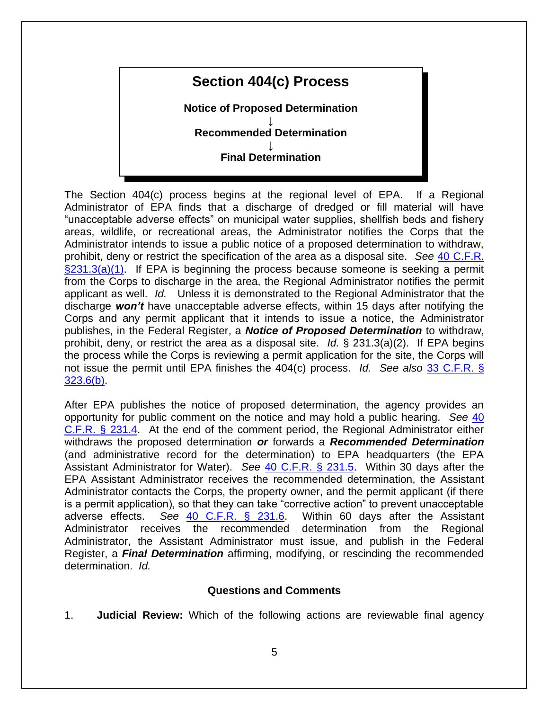## **Section 404(c) Process**

**Notice of Proposed Determination**

**↓ Recommended Determination** 

> **↓ Final Determination**

The Section 404(c) process begins at the regional level of EPA. If a Regional Administrator of EPA finds that a discharge of dredged or fill material will have "unacceptable adverse effects" on municipal water supplies, shellfish beds and fishery areas, wildlife, or recreational areas, the Administrator notifies the Corps that the Administrator intends to issue a public notice of a proposed determination to withdraw, prohibit, deny or restrict the specification of the area as a disposal site. *See* [40 C.F.R.](http://www.law.cornell.edu/cfr/text/40/231.3)   $\S231.3(a)(1)$ . If EPA is beginning the process because someone is seeking a permit from the Corps to discharge in the area, the Regional Administrator notifies the permit applicant as well. *Id.* Unless it is demonstrated to the Regional Administrator that the discharge *won't* have unacceptable adverse effects, within 15 days after notifying the Corps and any permit applicant that it intends to issue a notice, the Administrator publishes, in the Federal Register, a *Notice of Proposed Determination* to withdraw, prohibit, deny, or restrict the area as a disposal site. *Id.* § 231.3(a)(2). If EPA begins the process while the Corps is reviewing a permit application for the site, the Corps will not issue the permit until EPA finishes the 404(c) process. *Id. See also* [33 C.F.R. §](http://www.law.cornell.edu/cfr/text/33/323.6)  [323.6\(b\).](http://www.law.cornell.edu/cfr/text/33/323.6)

After EPA publishes the notice of proposed determination, the agency provides an opportunity for public comment on the notice and may hold a public hearing. *See* [40](http://www.law.cornell.edu/cfr/text/40/231.4)  [C.F.R. § 231.4.](http://www.law.cornell.edu/cfr/text/40/231.4) At the end of the comment period, the Regional Administrator either withdraws the proposed determination *or* forwards a *Recommended Determination* (and administrative record for the determination) to EPA headquarters (the EPA Assistant Administrator for Water). *See* [40 C.F.R. § 231.5.](http://www.law.cornell.edu/cfr/text/40/231.5) Within 30 days after the EPA Assistant Administrator receives the recommended determination, the Assistant Administrator contacts the Corps, the property owner, and the permit applicant (if there is a permit application), so that they can take "corrective action" to prevent unacceptable adverse effects. *See* [40 C.F.R. § 231.6.](http://www.law.cornell.edu/cfr/text/40/231.6) Within 60 days after the Assistant Administrator receives the recommended determination from the Regional Administrator, the Assistant Administrator must issue, and publish in the Federal Register, a *Final Determination* affirming, modifying, or rescinding the recommended determination. *Id.*

#### **Questions and Comments**

1. **Judicial Review:** Which of the following actions are reviewable final agency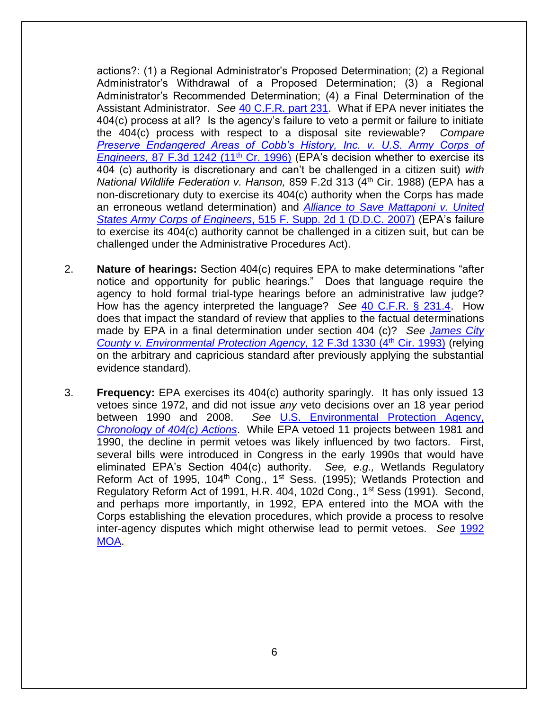actions?: (1) a Regional Administrator's Proposed Determination; (2) a Regional Administrator's Withdrawal of a Proposed Determination; (3) a Regional Administrator's Recommended Determination; (4) a Final Determination of the Assistant Administrator. *See* [40 C.F.R. part 231.](http://www.law.cornell.edu/cfr/text/40/part-231) What if EPA never initiates the 404(c) process at all? Is the agency's failure to veto a permit or failure to initiate the 404(c) process with respect to a disposal site reviewable? *Compare [Preserve Endangered Areas of Cobb's History, Inc. v. U.S. Army Corps of](http://law.justia.com/cases/federal/appellate-courts/F3/87/1242/610077/)  Engineers, [87 F.3d 1242 \(11](http://law.justia.com/cases/federal/appellate-courts/F3/87/1242/610077/)<sup>th</sup> Cr. 1996)* (EPA's decision whether to exercise its 404 (c) authority is discretionary and can't be challenged in a citizen suit) *with National Wildlife Federation v. Hanson, 859 F.2d 313 (4<sup>th</sup> Cir. 1988) (EPA has a* non-discretionary duty to exercise its 404(c) authority when the Corps has made an erroneous wetland determination) and *[Alliance to Save Mattaponi v. United](https://casetext.com/case/alliance-to-save-mattaponi-v-us-army-corps-of-engrs)  States Army Corps of Engineers*[, 515 F. Supp. 2d 1 \(D.D.C. 2007\)](https://casetext.com/case/alliance-to-save-mattaponi-v-us-army-corps-of-engrs) (EPA's failure to exercise its 404(c) authority cannot be challenged in a citizen suit, but can be challenged under the Administrative Procedures Act).

- 2. **Nature of hearings:** Section 404(c) requires EPA to make determinations "after notice and opportunity for public hearings." Does that language require the agency to hold formal trial-type hearings before an administrative law judge? How has the agency interpreted the language? *See* [40 C.F.R. § 231.4.](http://www.law.cornell.edu/cfr/text/40/231.4) How does that impact the standard of review that applies to the factual determinations made by EPA in a final determination under section 404 (c)? *See [James City](http://law.justia.com/cases/federal/appellate-courts/F3/12/1330/527984/)  [County v. Environmental Protection Agency,](http://law.justia.com/cases/federal/appellate-courts/F3/12/1330/527984/)* 12 F.3d 1330 (4th Cir. 1993) (relying on the arbitrary and capricious standard after previously applying the substantial evidence standard).
- 3. **Frequency:** EPA exercises its 404(c) authority sparingly. It has only issued 13 vetoes since 1972, and did not issue *any* veto decisions over an 18 year period between 1990 and 2008. *See* [U.S. Environmental Protection Agency,](https://www.epa.gov/cwa-404/chronology-cwa-section-404c-actions) *[Chronology of 404\(c\) Actions](https://www.epa.gov/cwa-404/chronology-cwa-section-404c-actions)*. While EPA vetoed 11 projects between 1981 and 1990, the decline in permit vetoes was likely influenced by two factors. First, several bills were introduced in Congress in the early 1990s that would have eliminated EPA's Section 404(c) authority. *See, e.g.,* Wetlands Regulatory Reform Act of 1995, 104<sup>th</sup> Cong., 1<sup>st</sup> Sess. (1995); Wetlands Protection and Regulatory Reform Act of 1991, H.R. 404, 102d Cong., 1<sup>st</sup> Sess (1991). Second, and perhaps more importantly, in 1992, EPA entered into the MOA with the Corps establishing the elevation procedures, which provide a process to resolve inter-agency disputes which might otherwise lead to permit vetoes. *See* [1992](https://www.epa.gov/cwa-404/cwa-section-404q-memorandum-agreement-between-epa-and-department-army-text)  [MOA.](https://www.epa.gov/cwa-404/cwa-section-404q-memorandum-agreement-between-epa-and-department-army-text)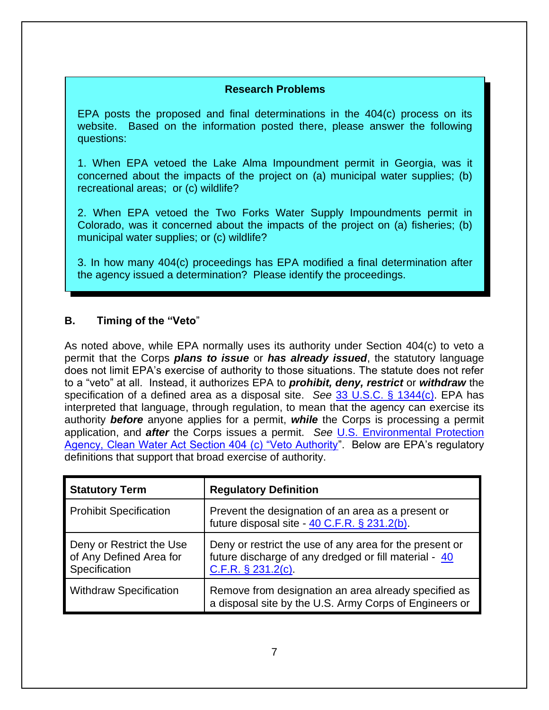#### **Research Problems**

EPA posts the proposed and final determinations in the 404(c) process on its website. Based on the information posted there, please answer the following questions:

1. When EPA vetoed the Lake Alma Impoundment permit in Georgia, was it concerned about the impacts of the project on (a) municipal water supplies; (b) recreational areas; or (c) wildlife?

2. When EPA vetoed the Two Forks Water Supply Impoundments permit in Colorado, was it concerned about the impacts of the project on (a) fisheries; (b) municipal water supplies; or (c) wildlife?

3. In how many 404(c) proceedings has EPA modified a final determination after the agency issued a determination? Please identify the proceedings.

#### **B. Timing of the "Veto**"

As noted above, while EPA normally uses its authority under Section 404(c) to veto a permit that the Corps *plans to issue* or *has already issued*, the statutory language does not limit EPA's exercise of authority to those situations. The statute does not refer to a "veto" at all. Instead, it authorizes EPA to *prohibit, deny, restrict* or *withdraw* the specification of a defined area as a disposal site. *See* [33 U.S.C. § 1344\(c\).](http://www.law.cornell.edu/uscode/text/33/1344) EPA has interpreted that language, through regulation, to mean that the agency can exercise its authority *before* anyone applies for a permit, *while* the Corps is processing a permit application, and *after* the Corps issues a permit. *See* [U.S. Environmental Protection](https://www.epa.gov/sites/production/files/2016-03/documents/404c.pdf)  [Agency, Clean Water Act Section 404 \(c\) "Veto Authority"](https://www.epa.gov/sites/production/files/2016-03/documents/404c.pdf). Below are EPA's regulatory definitions that support that broad exercise of authority.

| <b>Statutory Term</b>                                                | <b>Regulatory Definition</b>                                                                                                              |
|----------------------------------------------------------------------|-------------------------------------------------------------------------------------------------------------------------------------------|
| <b>Prohibit Specification</b>                                        | Prevent the designation of an area as a present or<br>future disposal site - 40 C.F.R. § 231.2(b).                                        |
| Deny or Restrict the Use<br>of Any Defined Area for<br>Specification | Deny or restrict the use of any area for the present or<br>future discharge of any dredged or fill material - 40<br>$C.F.R. § 231.2(c)$ . |
| <b>Withdraw Specification</b>                                        | Remove from designation an area already specified as<br>a disposal site by the U.S. Army Corps of Engineers or                            |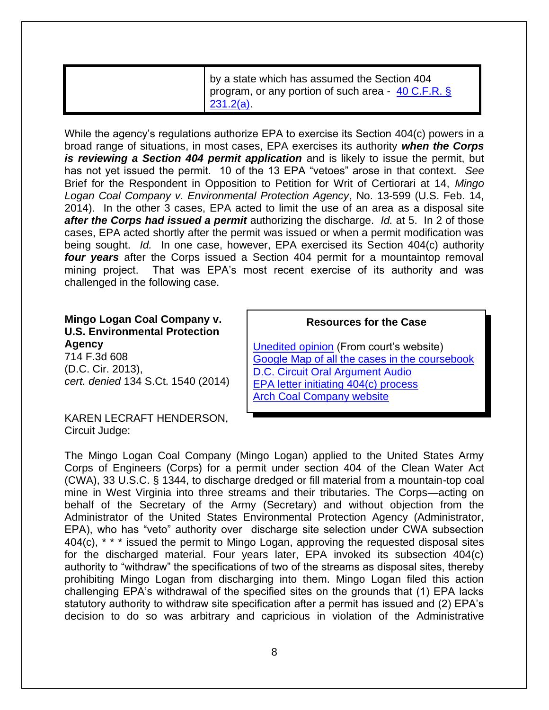| by a state which has assumed the Section 404<br>program, or any portion of such area - $40$ C.F.R. §<br>231.2(a) |
|------------------------------------------------------------------------------------------------------------------|
|------------------------------------------------------------------------------------------------------------------|

While the agency's regulations authorize EPA to exercise its Section 404(c) powers in a broad range of situations, in most cases, EPA exercises its authority *when the Corps is reviewing a Section 404 permit application* and is likely to issue the permit, but has not yet issued the permit. 10 of the 13 EPA "vetoes" arose in that context. *See* Brief for the Respondent in Opposition to Petition for Writ of Certiorari at 14, *Mingo Logan Coal Company v. Environmental Protection Agency*, No. 13-599 (U.S. Feb. 14, 2014). In the other 3 cases, EPA acted to limit the use of an area as a disposal site *after the Corps had issued a permit* authorizing the discharge. *Id.* at 5. In 2 of those cases, EPA acted shortly after the permit was issued or when a permit modification was being sought. *Id.* In one case, however, EPA exercised its Section 404(c) authority *four years* after the Corps issued a Section 404 permit for a mountaintop removal mining project. That was EPA's most recent exercise of its authority and was challenged in the following case.

| Mingo Logan Coal Company v.<br><b>U.S. Environmental Protection</b>               | <b>Resources for the Case</b>                                                                                                                                                                                   |
|-----------------------------------------------------------------------------------|-----------------------------------------------------------------------------------------------------------------------------------------------------------------------------------------------------------------|
| Agency<br>714 F.3d 608<br>(D.C. Cir. 2013),<br>cert. denied 134 S.Ct. 1540 (2014) | <b>Unedited opinion</b> (From court's website)<br>Google Map of all the cases in the coursebook<br>D.C. Circuit Oral Argument Audio<br>EPA letter initiating 404(c) process<br><b>Arch Coal Company website</b> |

KAREN LECRAFT HENDERSON, Circuit Judge:

The Mingo Logan Coal Company (Mingo Logan) applied to the United States Army Corps of Engineers (Corps) for a permit under section 404 of the Clean Water Act (CWA), 33 U.S.C. § 1344, to discharge dredged or fill material from a mountain-top coal mine in West Virginia into three streams and their tributaries. The Corps—acting on behalf of the Secretary of the Army (Secretary) and without objection from the Administrator of the United States Environmental Protection Agency (Administrator, EPA), who has "veto" authority over discharge site selection under CWA subsection 404(c), \* \* \* issued the permit to Mingo Logan, approving the requested disposal sites for the discharged material. Four years later, EPA invoked its subsection 404(c) authority to "withdraw" the specifications of two of the streams as disposal sites, thereby prohibiting Mingo Logan from discharging into them. Mingo Logan filed this action challenging EPA's withdrawal of the specified sites on the grounds that (1) EPA lacks statutory authority to withdraw site specification after a permit has issued and (2) EPA's decision to do so was arbitrary and capricious in violation of the Administrative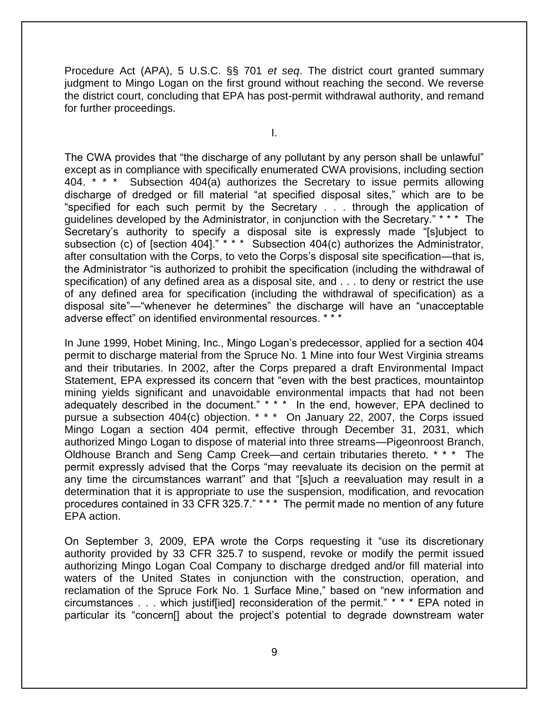Procedure Act (APA), 5 U.S.C. §§ 701 *et seq*. The district court granted summary judgment to Mingo Logan on the first ground without reaching the second. We reverse the district court, concluding that EPA has post-permit withdrawal authority, and remand for further proceedings.

I.

The CWA provides that "the discharge of any pollutant by any person shall be unlawful" except as in compliance with specifically enumerated CWA provisions, including section 404. \* \* \* Subsection 404(a) authorizes the Secretary to issue permits allowing discharge of dredged or fill material "at specified disposal sites," which are to be "specified for each such permit by the Secretary . . . through the application of guidelines developed by the Administrator, in conjunction with the Secretary." \* \* \* The Secretary's authority to specify a disposal site is expressly made "[s]ubject to subsection (c) of [section 404]." \* \* \* Subsection 404(c) authorizes the Administrator, after consultation with the Corps, to veto the Corps's disposal site specification—that is, the Administrator "is authorized to prohibit the specification (including the withdrawal of specification) of any defined area as a disposal site, and . . . to deny or restrict the use of any defined area for specification (including the withdrawal of specification) as a disposal site"—"whenever he determines" the discharge will have an "unacceptable adverse effect" on identified environmental resources. \* \* \*

In June 1999, Hobet Mining, Inc., Mingo Logan's predecessor, applied for a section 404 permit to discharge material from the Spruce No. 1 Mine into four West Virginia streams and their tributaries. In 2002, after the Corps prepared a draft Environmental Impact Statement, EPA expressed its concern that "even with the best practices, mountaintop mining yields significant and unavoidable environmental impacts that had not been adequately described in the document." \* \* \* In the end, however, EPA declined to pursue a subsection 404(c) objection. \* \* \* On January 22, 2007, the Corps issued Mingo Logan a section 404 permit, effective through December 31, 2031, which authorized Mingo Logan to dispose of material into three streams—Pigeonroost Branch, Oldhouse Branch and Seng Camp Creek—and certain tributaries thereto. \* \* \* The permit expressly advised that the Corps "may reevaluate its decision on the permit at any time the circumstances warrant" and that "[s]uch a reevaluation may result in a determination that it is appropriate to use the suspension, modification, and revocation procedures contained in 33 CFR 325.7." \* \* \* The permit made no mention of any future EPA action.

On September 3, 2009, EPA wrote the Corps requesting it "use its discretionary authority provided by 33 CFR 325.7 to suspend, revoke or modify the permit issued authorizing Mingo Logan Coal Company to discharge dredged and/or fill material into waters of the United States in conjunction with the construction, operation, and reclamation of the Spruce Fork No. 1 Surface Mine," based on "new information and circumstances . . . which justif[ied] reconsideration of the permit." \* \* \* EPA noted in particular its "concern[] about the project's potential to degrade downstream water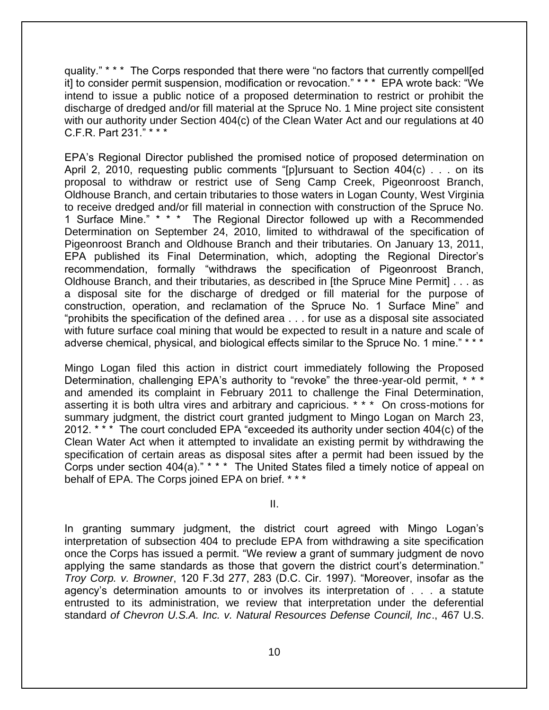quality." \* \* \* The Corps responded that there were "no factors that currently compell[ed it] to consider permit suspension, modification or revocation." \* \* \* EPA wrote back: "We intend to issue a public notice of a proposed determination to restrict or prohibit the discharge of dredged and/or fill material at the Spruce No. 1 Mine project site consistent with our authority under Section 404(c) of the Clean Water Act and our regulations at 40 C.F.R. Part 231." \* \* \*

EPA's Regional Director published the promised notice of proposed determination on April 2, 2010, requesting public comments "[p]ursuant to Section 404(c) . . . on its proposal to withdraw or restrict use of Seng Camp Creek, Pigeonroost Branch, Oldhouse Branch, and certain tributaries to those waters in Logan County, West Virginia to receive dredged and/or fill material in connection with construction of the Spruce No. 1 Surface Mine." \* \* \* The Regional Director followed up with a Recommended Determination on September 24, 2010, limited to withdrawal of the specification of Pigeonroost Branch and Oldhouse Branch and their tributaries. On January 13, 2011, EPA published its Final Determination, which, adopting the Regional Director's recommendation, formally "withdraws the specification of Pigeonroost Branch, Oldhouse Branch, and their tributaries, as described in [the Spruce Mine Permit] . . . as a disposal site for the discharge of dredged or fill material for the purpose of construction, operation, and reclamation of the Spruce No. 1 Surface Mine" and "prohibits the specification of the defined area . . . for use as a disposal site associated with future surface coal mining that would be expected to result in a nature and scale of adverse chemical, physical, and biological effects similar to the Spruce No. 1 mine." \* \* \*

Mingo Logan filed this action in district court immediately following the Proposed Determination, challenging EPA's authority to "revoke" the three-year-old permit, \* \* \* and amended its complaint in February 2011 to challenge the Final Determination, asserting it is both ultra vires and arbitrary and capricious. \* \* \* On cross-motions for summary judgment, the district court granted judgment to Mingo Logan on March 23, 2012. \* \* \* The court concluded EPA "exceeded its authority under section 404(c) of the Clean Water Act when it attempted to invalidate an existing permit by withdrawing the specification of certain areas as disposal sites after a permit had been issued by the Corps under section 404(a)." \* \* \* The United States filed a timely notice of appeal on behalf of EPA. The Corps joined EPA on brief. \*\*\*

II.

In granting summary judgment, the district court agreed with Mingo Logan's interpretation of subsection 404 to preclude EPA from withdrawing a site specification once the Corps has issued a permit. "We review a grant of summary judgment de novo applying the same standards as those that govern the district court's determination." *Troy Corp. v. Browner*, 120 F.3d 277, 283 (D.C. Cir. 1997). "Moreover, insofar as the agency's determination amounts to or involves its interpretation of . . . a statute entrusted to its administration, we review that interpretation under the deferential standard *of Chevron U.S.A. Inc. v. Natural Resources Defense Council, Inc*., 467 U.S.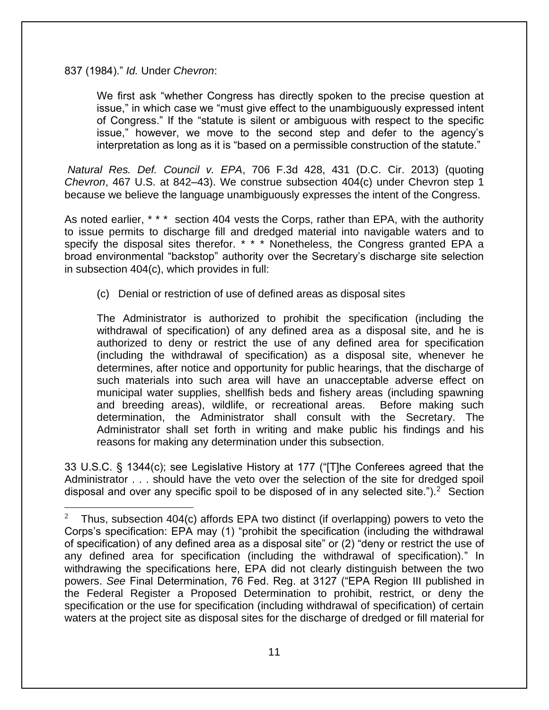837 (1984)." *Id.* Under *Chevron*:

We first ask "whether Congress has directly spoken to the precise question at issue," in which case we "must give effect to the unambiguously expressed intent of Congress." If the "statute is silent or ambiguous with respect to the specific issue," however, we move to the second step and defer to the agency's interpretation as long as it is "based on a permissible construction of the statute."

*Natural Res. Def. Council v. EPA*, 706 F.3d 428, 431 (D.C. Cir. 2013) (quoting *Chevron*, 467 U.S. at 842–43). We construe subsection 404(c) under Chevron step 1 because we believe the language unambiguously expresses the intent of the Congress.

As noted earlier, \* \* \* section 404 vests the Corps, rather than EPA, with the authority to issue permits to discharge fill and dredged material into navigable waters and to specify the disposal sites therefor. \* \* \* Nonetheless, the Congress granted EPA a broad environmental "backstop" authority over the Secretary's discharge site selection in subsection 404(c), which provides in full:

(c) Denial or restriction of use of defined areas as disposal sites

The Administrator is authorized to prohibit the specification (including the withdrawal of specification) of any defined area as a disposal site, and he is authorized to deny or restrict the use of any defined area for specification (including the withdrawal of specification) as a disposal site, whenever he determines, after notice and opportunity for public hearings, that the discharge of such materials into such area will have an unacceptable adverse effect on municipal water supplies, shellfish beds and fishery areas (including spawning and breeding areas), wildlife, or recreational areas. Before making such determination, the Administrator shall consult with the Secretary. The Administrator shall set forth in writing and make public his findings and his reasons for making any determination under this subsection.

33 U.S.C. § 1344(c); see Legislative History at 177 ("[T]he Conferees agreed that the Administrator . . . should have the veto over the selection of the site for dredged spoil disposal and over any specific spoil to be disposed of in any selected site.").<sup>2</sup> Section

<sup>2</sup> Thus, subsection 404(c) affords EPA two distinct (if overlapping) powers to veto the Corps's specification: EPA may (1) "prohibit the specification (including the withdrawal of specification) of any defined area as a disposal site" or (2) "deny or restrict the use of any defined area for specification (including the withdrawal of specification)." In withdrawing the specifications here, EPA did not clearly distinguish between the two powers. *See* Final Determination, 76 Fed. Reg. at 3127 ("EPA Region III published in the Federal Register a Proposed Determination to prohibit, restrict, or deny the specification or the use for specification (including withdrawal of specification) of certain waters at the project site as disposal sites for the discharge of dredged or fill material for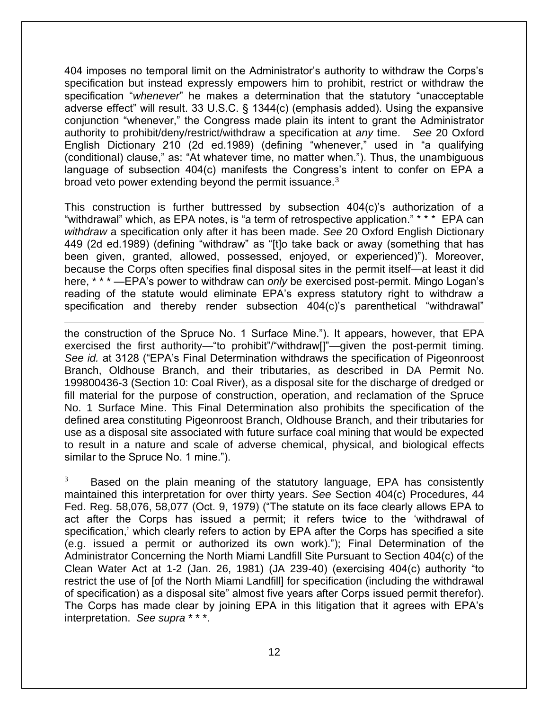404 imposes no temporal limit on the Administrator's authority to withdraw the Corps's specification but instead expressly empowers him to prohibit, restrict or withdraw the specification "*whenever*" he makes a determination that the statutory "unacceptable adverse effect" will result. 33 U.S.C. § 1344(c) (emphasis added). Using the expansive conjunction "whenever," the Congress made plain its intent to grant the Administrator authority to prohibit/deny/restrict/withdraw a specification at *any* time. *See* 20 Oxford English Dictionary 210 (2d ed.1989) (defining "whenever," used in "a qualifying (conditional) clause," as: "At whatever time, no matter when."). Thus, the unambiguous language of subsection 404(c) manifests the Congress's intent to confer on EPA a broad veto power extending beyond the permit issuance.<sup>3</sup>

This construction is further buttressed by subsection 404(c)'s authorization of a "withdrawal" which, as EPA notes, is "a term of retrospective application." \* \* \* EPA can *withdraw* a specification only after it has been made. *See* 20 Oxford English Dictionary 449 (2d ed.1989) (defining "withdraw" as "[t]o take back or away (something that has been given, granted, allowed, possessed, enjoyed, or experienced)"). Moreover, because the Corps often specifies final disposal sites in the permit itself—at least it did here, \* \* \* —EPA's power to withdraw can *only* be exercised post-permit. Mingo Logan's reading of the statute would eliminate EPA's express statutory right to withdraw a specification and thereby render subsection 404(c)'s parenthetical "withdrawal"

the construction of the Spruce No. 1 Surface Mine."). It appears, however, that EPA exercised the first authority—"to prohibit"/"withdraw[]"—given the post-permit timing. *See id.* at 3128 ("EPA's Final Determination withdraws the specification of Pigeonroost Branch, Oldhouse Branch, and their tributaries, as described in DA Permit No. 199800436-3 (Section 10: Coal River), as a disposal site for the discharge of dredged or fill material for the purpose of construction, operation, and reclamation of the Spruce No. 1 Surface Mine. This Final Determination also prohibits the specification of the defined area constituting Pigeonroost Branch, Oldhouse Branch, and their tributaries for use as a disposal site associated with future surface coal mining that would be expected to result in a nature and scale of adverse chemical, physical, and biological effects similar to the Spruce No. 1 mine.").

3 Based on the plain meaning of the statutory language, EPA has consistently maintained this interpretation for over thirty years. *See* Section 404(c) Procedures, 44 Fed. Reg. 58,076, 58,077 (Oct. 9, 1979) ("The statute on its face clearly allows EPA to act after the Corps has issued a permit; it refers twice to the 'withdrawal of specification,' which clearly refers to action by EPA after the Corps has specified a site (e.g. issued a permit or authorized its own work)."); Final Determination of the Administrator Concerning the North Miami Landfill Site Pursuant to Section 404(c) of the Clean Water Act at 1-2 (Jan. 26, 1981) (JA 239-40) (exercising 404(c) authority "to restrict the use of [of the North Miami Landfill] for specification (including the withdrawal of specification) as a disposal site" almost five years after Corps issued permit therefor). The Corps has made clear by joining EPA in this litigation that it agrees with EPA's interpretation. *See supra* \* \* \*.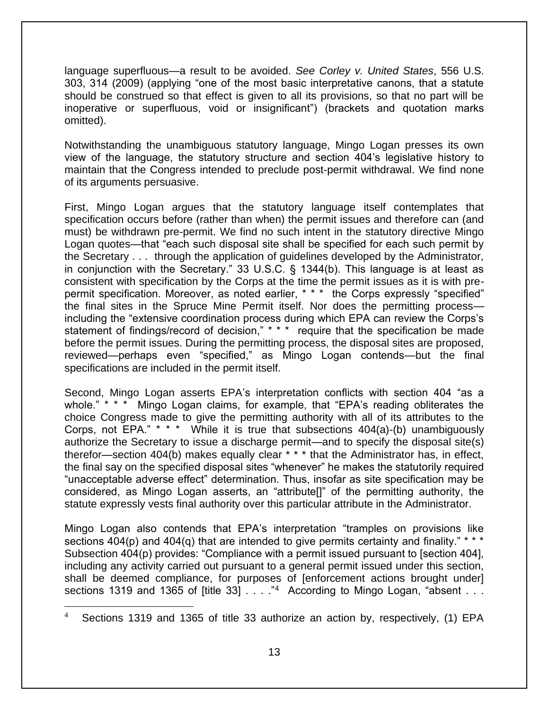language superfluous—a result to be avoided. *See Corley v. United States*, 556 U.S. 303, 314 (2009) (applying "one of the most basic interpretative canons, that a statute should be construed so that effect is given to all its provisions, so that no part will be inoperative or superfluous, void or insignificant") (brackets and quotation marks omitted).

Notwithstanding the unambiguous statutory language, Mingo Logan presses its own view of the language, the statutory structure and section 404's legislative history to maintain that the Congress intended to preclude post-permit withdrawal. We find none of its arguments persuasive.

First, Mingo Logan argues that the statutory language itself contemplates that specification occurs before (rather than when) the permit issues and therefore can (and must) be withdrawn pre-permit. We find no such intent in the statutory directive Mingo Logan quotes—that "each such disposal site shall be specified for each such permit by the Secretary . . . through the application of guidelines developed by the Administrator, in conjunction with the Secretary." 33 U.S.C. § 1344(b). This language is at least as consistent with specification by the Corps at the time the permit issues as it is with prepermit specification. Moreover, as noted earlier, \* \* \* the Corps expressly "specified" the final sites in the Spruce Mine Permit itself. Nor does the permitting process including the "extensive coordination process during which EPA can review the Corps's statement of findings/record of decision," \* \* \* require that the specification be made before the permit issues. During the permitting process, the disposal sites are proposed, reviewed—perhaps even "specified," as Mingo Logan contends—but the final specifications are included in the permit itself.

Second, Mingo Logan asserts EPA's interpretation conflicts with section 404 "as a whole." \* \* \* Mingo Logan claims, for example, that "EPA's reading obliterates the choice Congress made to give the permitting authority with all of its attributes to the Corps, not EPA."  $* * *$  While it is true that subsections  $404(a)$ -(b) unambiguously authorize the Secretary to issue a discharge permit—and to specify the disposal site(s) therefor—section 404(b) makes equally clear \* \* \* that the Administrator has, in effect, the final say on the specified disposal sites "whenever" he makes the statutorily required "unacceptable adverse effect" determination. Thus, insofar as site specification may be considered, as Mingo Logan asserts, an "attribute[]" of the permitting authority, the statute expressly vests final authority over this particular attribute in the Administrator.

Mingo Logan also contends that EPA's interpretation "tramples on provisions like sections 404(p) and 404(q) that are intended to give permits certainty and finality."  $* * *$ Subsection 404(p) provides: "Compliance with a permit issued pursuant to [section 404], including any activity carried out pursuant to a general permit issued under this section, shall be deemed compliance, for purposes of [enforcement actions brought under] sections 1319 and 1365 of [title 33] . . . . "4 According to Mingo Logan, "absent . . .

<sup>4</sup> Sections 1319 and 1365 of title 33 authorize an action by, respectively, (1) EPA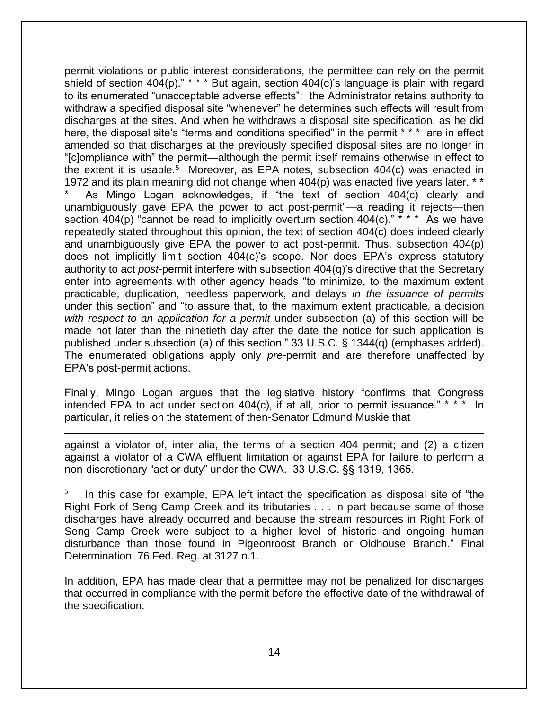permit violations or public interest considerations, the permittee can rely on the permit shield of section 404(p)." \* \* \* But again, section 404(c)'s language is plain with regard to its enumerated "unacceptable adverse effects": the Administrator retains authority to withdraw a specified disposal site "whenever" he determines such effects will result from discharges at the sites. And when he withdraws a disposal site specification, as he did here, the disposal site's "terms and conditions specified" in the permit \* \* \* are in effect amended so that discharges at the previously specified disposal sites are no longer in "[c]ompliance with" the permit—although the permit itself remains otherwise in effect to the extent it is usable.<sup>5</sup> Moreover, as EPA notes, subsection 404(c) was enacted in 1972 and its plain meaning did not change when 404(p) was enacted five years later. \* \* As Mingo Logan acknowledges, if "the text of section 404(c) clearly and unambiguously gave EPA the power to act post-permit"—a reading it rejects—then section 404(p) "cannot be read to implicitly overturn section 404(c)." \* \* \* As we have repeatedly stated throughout this opinion, the text of section 404(c) does indeed clearly and unambiguously give EPA the power to act post-permit. Thus, subsection 404(p) does not implicitly limit section 404(c)'s scope. Nor does EPA's express statutory authority to act *post*-permit interfere with subsection 404(q)'s directive that the Secretary enter into agreements with other agency heads "to minimize, to the maximum extent practicable, duplication, needless paperwork, and delays *in the issuance of permits*  under this section" and "to assure that, to the maximum extent practicable, a decision *with respect to an application for a permit* under subsection (a) of this section will be made not later than the ninetieth day after the date the notice for such application is published under subsection (a) of this section." 33 U.S.C. § 1344(q) (emphases added). The enumerated obligations apply only *pre*-permit and are therefore unaffected by EPA's post-permit actions.

Finally, Mingo Logan argues that the legislative history "confirms that Congress intended EPA to act under section  $404(c)$ , if at all, prior to permit issuance." \* \* \* In particular, it relies on the statement of then-Senator Edmund Muskie that

against a violator of, inter alia, the terms of a section 404 permit; and (2) a citizen against a violator of a CWA effluent limitation or against EPA for failure to perform a non-discretionary "act or duty" under the CWA. 33 U.S.C. §§ 1319, 1365.

5 In this case for example, EPA left intact the specification as disposal site of "the Right Fork of Seng Camp Creek and its tributaries . . . in part because some of those discharges have already occurred and because the stream resources in Right Fork of Seng Camp Creek were subject to a higher level of historic and ongoing human disturbance than those found in Pigeonroost Branch or Oldhouse Branch." Final Determination, 76 Fed. Reg. at 3127 n.1.

In addition, EPA has made clear that a permittee may not be penalized for discharges that occurred in compliance with the permit before the effective date of the withdrawal of the specification.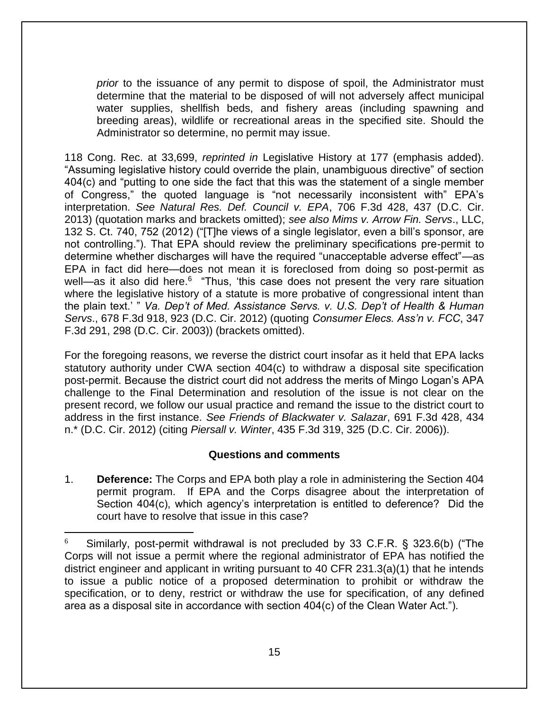*prior* to the issuance of any permit to dispose of spoil, the Administrator must determine that the material to be disposed of will not adversely affect municipal water supplies, shellfish beds, and fishery areas (including spawning and breeding areas), wildlife or recreational areas in the specified site. Should the Administrator so determine, no permit may issue.

118 Cong. Rec. at 33,699, *reprinted in* Legislative History at 177 (emphasis added). "Assuming legislative history could override the plain, unambiguous directive" of section 404(c) and "putting to one side the fact that this was the statement of a single member of Congress," the quoted language is "not necessarily inconsistent with" EPA's interpretation. *See Natural Res. Def. Council v. EPA*, 706 F.3d 428, 437 (D.C. Cir. 2013) (quotation marks and brackets omitted); *see also Mims v. Arrow Fin. Servs*., LLC, 132 S. Ct. 740, 752 (2012) ("[T]he views of a single legislator, even a bill's sponsor, are not controlling."). That EPA should review the preliminary specifications pre-permit to determine whether discharges will have the required "unacceptable adverse effect"—as EPA in fact did here—does not mean it is foreclosed from doing so post-permit as well—as it also did here.<sup>6</sup> "Thus, 'this case does not present the very rare situation where the legislative history of a statute is more probative of congressional intent than the plain text.' " *Va. Dep't of Med. Assistance Servs. v. U.S. Dep't of Health & Human Servs*., 678 F.3d 918, 923 (D.C. Cir. 2012) (quoting *Consumer Elecs. Ass'n v. FCC*, 347 F.3d 291, 298 (D.C. Cir. 2003)) (brackets omitted).

For the foregoing reasons, we reverse the district court insofar as it held that EPA lacks statutory authority under CWA section 404(c) to withdraw a disposal site specification post-permit. Because the district court did not address the merits of Mingo Logan's APA challenge to the Final Determination and resolution of the issue is not clear on the present record, we follow our usual practice and remand the issue to the district court to address in the first instance. *See Friends of Blackwater v. Salazar*, 691 F.3d 428, 434 n.\* (D.C. Cir. 2012) (citing *Piersall v. Winter*, 435 F.3d 319, 325 (D.C. Cir. 2006)).

#### **Questions and comments**

1. **Deference:** The Corps and EPA both play a role in administering the Section 404 permit program. If EPA and the Corps disagree about the interpretation of Section 404(c), which agency's interpretation is entitled to deference? Did the court have to resolve that issue in this case?

<sup>6</sup> Similarly, post-permit withdrawal is not precluded by 33 C.F.R. § 323.6(b) ("The Corps will not issue a permit where the regional administrator of EPA has notified the district engineer and applicant in writing pursuant to 40 CFR 231.3(a)(1) that he intends to issue a public notice of a proposed determination to prohibit or withdraw the specification, or to deny, restrict or withdraw the use for specification, of any defined area as a disposal site in accordance with section 404(c) of the Clean Water Act.").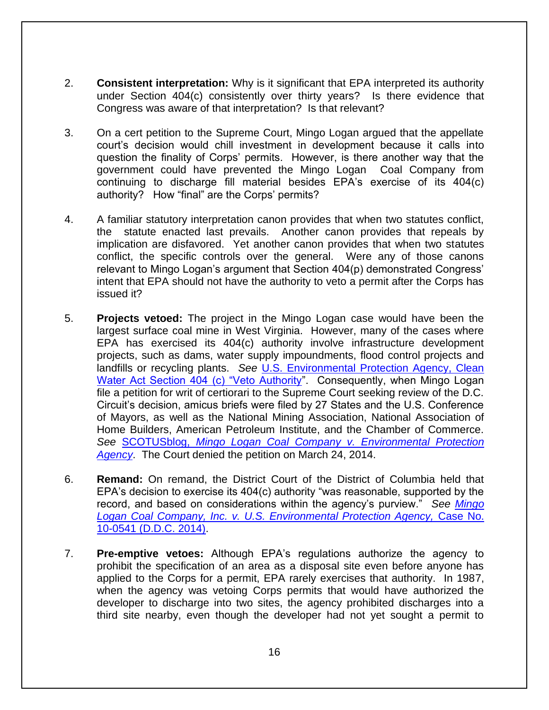- 2. **Consistent interpretation:** Why is it significant that EPA interpreted its authority under Section 404(c) consistently over thirty years? Is there evidence that Congress was aware of that interpretation? Is that relevant?
- 3. On a cert petition to the Supreme Court, Mingo Logan argued that the appellate court's decision would chill investment in development because it calls into question the finality of Corps' permits. However, is there another way that the government could have prevented the Mingo Logan Coal Company from continuing to discharge fill material besides EPA's exercise of its 404(c) authority? How "final" are the Corps' permits?
- 4. A familiar statutory interpretation canon provides that when two statutes conflict, the statute enacted last prevails. Another canon provides that repeals by implication are disfavored. Yet another canon provides that when two statutes conflict, the specific controls over the general. Were any of those canons relevant to Mingo Logan's argument that Section 404(p) demonstrated Congress' intent that EPA should not have the authority to veto a permit after the Corps has issued it?
- 5. **Projects vetoed:** The project in the Mingo Logan case would have been the largest surface coal mine in West Virginia. However, many of the cases where EPA has exercised its 404(c) authority involve infrastructure development projects, such as dams, water supply impoundments, flood control projects and landfills or recycling plants. *See* [U.S. Environmental Protection Agency, Clean](https://www.epa.gov/sites/production/files/2016-03/documents/404c.pdf)  [Water Act Section 404 \(c\) "Veto Authority"](https://www.epa.gov/sites/production/files/2016-03/documents/404c.pdf). Consequently, when Mingo Logan file a petition for writ of certiorari to the Supreme Court seeking review of the D.C. Circuit's decision, amicus briefs were filed by 27 States and the U.S. Conference of Mayors, as well as the National Mining Association, National Association of Home Builders, American Petroleum Institute, and the Chamber of Commerce. *See* SCOTUSblog, *[Mingo Logan Coal Company v. Environmental Protection](http://www.scotusblog.com/case-files/cases/mingo-logan-coal-company-v-environmental-protection-agency/)  [Agency](http://www.scotusblog.com/case-files/cases/mingo-logan-coal-company-v-environmental-protection-agency/)*. The Court denied the petition on March 24, 2014.
- 6. **Remand:** On remand, the District Court of the District of Columbia held that EPA's decision to exercise its 404(c) authority "was reasonable, supported by the record, and based on considerations within the agency's purview." *See [Mingo](http://earthjustice.org/sites/default/files/files/Spruce-Mine-Opinion-09-30-2014.pdf)  [Logan Coal Company, Inc. v. U.S. Environmental Protection Agency,](http://earthjustice.org/sites/default/files/files/Spruce-Mine-Opinion-09-30-2014.pdf)* Case No. [10-0541 \(D.D.C. 2014\).](http://earthjustice.org/sites/default/files/files/Spruce-Mine-Opinion-09-30-2014.pdf)
- 7. **Pre-emptive vetoes:** Although EPA's regulations authorize the agency to prohibit the specification of an area as a disposal site even before anyone has applied to the Corps for a permit, EPA rarely exercises that authority. In 1987, when the agency was vetoing Corps permits that would have authorized the developer to discharge into two sites, the agency prohibited discharges into a third site nearby, even though the developer had not yet sought a permit to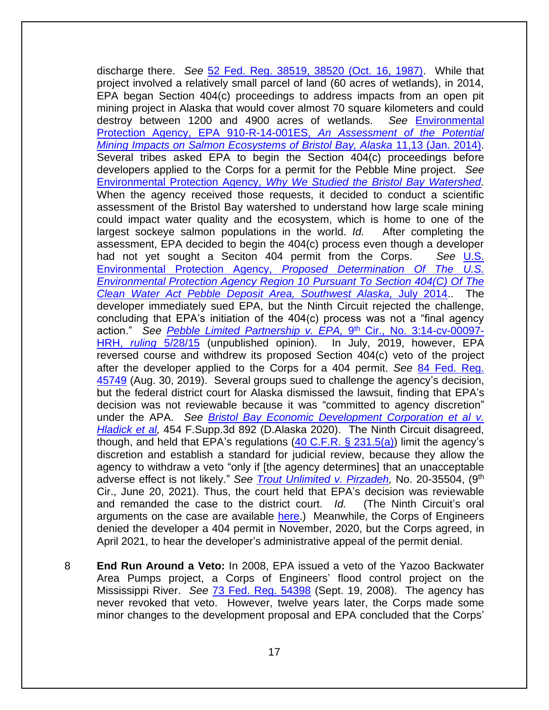discharge there. *See* [52 Fed. Reg. 38519, 38520 \(Oct. 16, 1987\).](https://www.epa.gov/sites/default/files/2015-05/documents/henry-rem_pd.pdf) While that project involved a relatively small parcel of land (60 acres of wetlands), in 2014, EPA began Section 404(c) proceedings to address impacts from an open pit mining project in Alaska that would cover almost 70 square kilometers and could destroy between 1200 and 4900 acres of wetlands. *See* [Environmental](https://www.epa.gov/bristolbay/bristol-bay-assessment-final-report-2014)  [Protection Agency, EPA 910-R-14-001ES,](https://www.epa.gov/bristolbay/bristol-bay-assessment-final-report-2014) *An Assessment of the Potential [Mining Impacts on Salmon Ecosystems of Bristol Bay, Alaska](https://www.epa.gov/bristolbay/bristol-bay-assessment-final-report-2014)* 11,13 (Jan. 2014). Several tribes asked EPA to begin the Section 404(c) proceedings before developers applied to the Corps for a permit for the Pebble Mine project. *See* Environmental Protection Agency, *[Why We Studied the Bristol Bay Watershed.](http://www2.epa.gov/bristolbay/why-we-studied-bristol-bay-watershed)* When the agency received those requests, it decided to conduct a scientific assessment of the Bristol Bay watershed to understand how large scale mining could impact water quality and the ecosystem, which is home to one of the largest sockeye salmon populations in the world. *Id.* After completing the assessment, EPA decided to begin the 404(c) process even though a developer had not yet sought a Seciton 404 permit from the Corps. *See* U.S. Environmental Protection Agency, *[Proposed Determination Of The](https://www.epa.gov/sites/default/files/2014-07/documents/pebble_es_pd_071714_final.pdf) U.S. [Environmental Protection Agency Region 10](https://www.epa.gov/sites/default/files/2014-07/documents/pebble_es_pd_071714_final.pdf) Pursuant To Section 404(C) Of The Clean Water Act [Pebble Deposit Area, Southwest Alaska,](https://www.epa.gov/sites/default/files/2014-07/documents/pebble_es_pd_071714_final.pdf)* July 2014.. The developer immediately sued EPA, but the Ninth Circuit rejected the challenge, concluding that EPA's initiation of the 404(c) process was not a "final agency action." *See Pebble Limited Partnership v. EPA,* 9 th [Cir., No. 3:14-cv-00097-](http://cdn.ca9.uscourts.gov/datastore/memoranda/2015/05/28/14-35845.pdf) HRH, *ruling* [5/28/15](http://cdn.ca9.uscourts.gov/datastore/memoranda/2015/05/28/14-35845.pdf) (unpublished opinion). In July, 2019, however, EPA reversed course and withdrew its proposed Section 404(c) veto of the project after the developer applied to the Corps for a 404 permit. *See* [84 Fed. Reg.](https://www.govinfo.gov/content/pkg/FR-2019-08-30/pdf/2019-18596.pdf)  [45749](https://www.govinfo.gov/content/pkg/FR-2019-08-30/pdf/2019-18596.pdf) (Aug. 30, 2019). Several groups sued to challenge the agency's decision, but the federal district court for Alaska dismissed the lawsuit, finding that EPA's decision was not reviewable because it was "committed to agency discretion" under the APA. *See [Bristol Bay Economic Development Corporation et al v.](https://law.justia.com/cases/federal/district-courts/alaska/akdce/3:2019cv00265/62717/75/)  [Hladick et al,](https://law.justia.com/cases/federal/district-courts/alaska/akdce/3:2019cv00265/62717/75/)* 454 F.Supp.3d 892 (D.Alaska 2020). The Ninth Circuit disagreed, though, and held that EPA's regulations  $(40 \text{ C.F.R.} \S 231.5(a))$  limit the agency's discretion and establish a standard for judicial review, because they allow the agency to withdraw a veto "only if [the agency determines] that an unacceptable adverse effect is not likely." *See [Trout Unlimited v. Pirzadeh,](http://cdn.ca9.uscourts.gov/datastore/opinions/2021/06/17/20-35504.pdf)* No. 20-35504, (9th Cir., June 20, 2021). Thus, the court held that EPA's decision was reviewable and remanded the case to the district court. *Id.* (The Ninth Circuit's oral arguments on the case are available [here.](https://www.youtube.com/watch?v=jPJB4AClaJY)) Meanwhile, the Corps of Engineers denied the developer a 404 permit in November, 2020, but the Corps agreed, in April 2021, to hear the developer's administrative appeal of the permit denial.

8 **End Run Around a Veto:** In 2008, EPA issued a veto of the Yazoo Backwater Area Pumps project, a Corps of Engineers' flood control project on the Mississippi River. *See* [73 Fed. Reg. 54398](https://www.govinfo.gov/content/pkg/FR-2008-09-19/pdf/E8-22002.pdf#page=1) (Sept. 19, 2008). The agency has never revoked that veto. However, twelve years later, the Corps made some minor changes to the development proposal and EPA concluded that the Corps'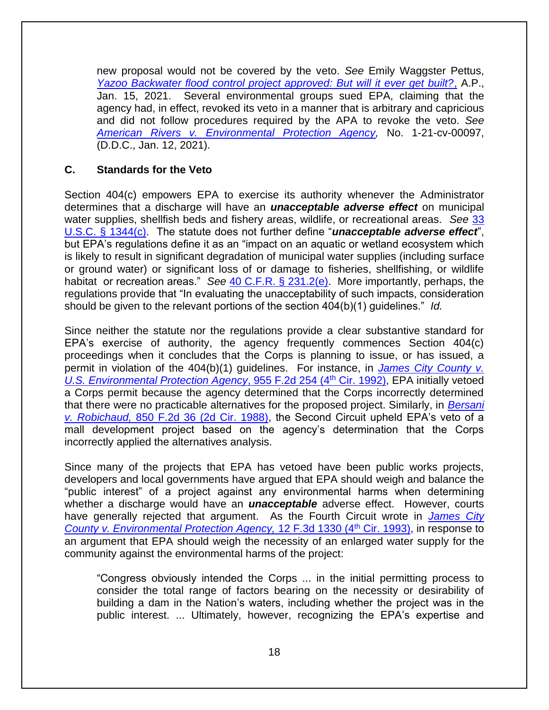new proposal would not be covered by the veto. *See* Emily Waggster Pettus, *[Yazoo Backwater flood control project approved: But will it ever get built?](https://www.clarionledger.com/story/news/local/2021/01/16/yazoo-flood-control-project-approved-funding-lawsuits/4183702001/)*, A.P., Jan. 15, 2021. Several environmental groups sued EPA, claiming that the agency had, in effect, revoked its veto in a manner that is arbitrary and capricious and did not follow procedures required by the APA to revoke the veto. *See [American Rivers v. Environmental Protection Agency,](https://earthjustice.org/sites/default/files/files/1_-_complaint.pdf)* No. 1-21-cv-00097, (D.D.C., Jan. 12, 2021).

#### **C. Standards for the Veto**

Section 404(c) empowers EPA to exercise its authority whenever the Administrator determines that a discharge will have an *unacceptable adverse effect* on municipal water supplies, shellfish beds and fishery areas, wildlife, or recreational areas. *See* [33](http://www.law.cornell.edu/uscode/text/33/1344)  [U.S.C. § 1344\(c\).](http://www.law.cornell.edu/uscode/text/33/1344) The statute does not further define "*unacceptable adverse effect*", but EPA's regulations define it as an "impact on an aquatic or wetland ecosystem which is likely to result in significant degradation of municipal water supplies (including surface or ground water) or significant loss of or damage to fisheries, shellfishing, or wildlife habitat or recreation areas." *See* [40 C.F.R. § 231.2\(e\).](http://www.law.cornell.edu/cfr/text/40/231.2) More importantly, perhaps, the regulations provide that "In evaluating the unacceptability of such impacts, consideration should be given to the relevant portions of the section 404(b)(1) guidelines." *Id.*

Since neither the statute nor the regulations provide a clear substantive standard for EPA's exercise of authority, the agency frequently commences Section 404(c) proceedings when it concludes that the Corps is planning to issue, or has issued, a permit in violation of the 404(b)(1) guidelines. For instance, in *[James City County v.](http://law.justia.com/cases/federal/appellate-courts/F2/955/254/448335/)  [U.S. Environmental Protection Agency](http://law.justia.com/cases/federal/appellate-courts/F2/955/254/448335/)*, 955 F.2d 254 (4<sup>th</sup> Cir. 1992), EPA initially vetoed a Corps permit because the agency determined that the Corps incorrectly determined that there were no practicable alternatives for the proposed project. Similarly, in *[Bersani](http://law.justia.com/cases/federal/appellate-courts/F2/850/36/3499/)  v. Robichaud,* [850 F.2d 36 \(2d Cir. 1988\),](http://law.justia.com/cases/federal/appellate-courts/F2/850/36/3499/) the Second Circuit upheld EPA's veto of a mall development project based on the agency's determination that the Corps incorrectly applied the alternatives analysis.

Since many of the projects that EPA has vetoed have been public works projects, developers and local governments have argued that EPA should weigh and balance the "public interest" of a project against any environmental harms when determining whether a discharge would have an *unacceptable* adverse effect. However, courts have generally rejected that argument. As the Fourth Circuit wrote in *[James City](http://law.justia.com/cases/federal/appellate-courts/F3/12/1330/527984/)  County v. Environmental Protection Agency,* 12 F.3d 1330 (4<sup>th</sup> Cir. 1993), in response to an argument that EPA should weigh the necessity of an enlarged water supply for the community against the environmental harms of the project:

"Congress obviously intended the Corps ... in the initial permitting process to consider the total range of factors bearing on the necessity or desirability of building a dam in the Nation's waters, including whether the project was in the public interest. ... Ultimately, however, recognizing the EPA's expertise and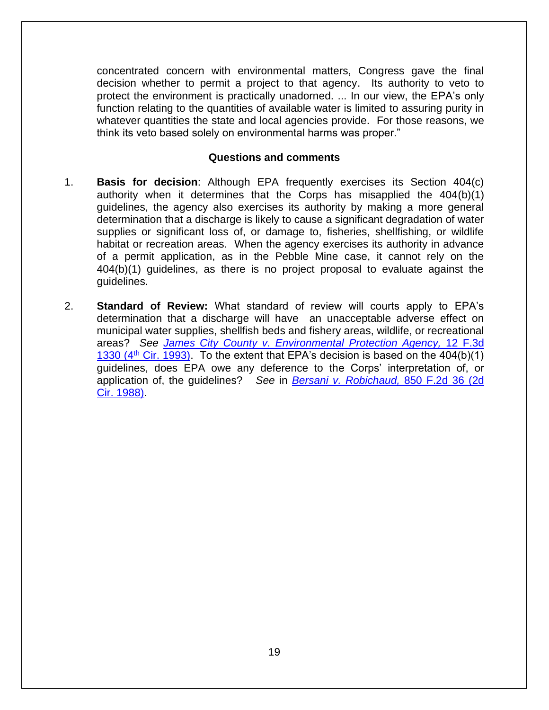concentrated concern with environmental matters, Congress gave the final decision whether to permit a project to that agency. Its authority to veto to protect the environment is practically unadorned. ... In our view, the EPA's only function relating to the quantities of available water is limited to assuring purity in whatever quantities the state and local agencies provide. For those reasons, we think its veto based solely on environmental harms was proper."

#### **Questions and comments**

- 1. **Basis for decision**: Although EPA frequently exercises its Section 404(c) authority when it determines that the Corps has misapplied the 404(b)(1) guidelines, the agency also exercises its authority by making a more general determination that a discharge is likely to cause a significant degradation of water supplies or significant loss of, or damage to, fisheries, shellfishing, or wildlife habitat or recreation areas. When the agency exercises its authority in advance of a permit application, as in the Pebble Mine case, it cannot rely on the 404(b)(1) guidelines, as there is no project proposal to evaluate against the guidelines.
- 2. **Standard of Review:** What standard of review will courts apply to EPA's determination that a discharge will have an unacceptable adverse effect on municipal water supplies, shellfish beds and fishery areas, wildlife, or recreational areas? *See [James City County v. Environmental](http://law.justia.com/cases/federal/appellate-courts/F3/12/1330/527984/) Protection Agency,* 12 F.3d 1330  $(4<sup>th</sup>$  [Cir. 1993\).](http://law.justia.com/cases/federal/appellate-courts/F3/12/1330/527984/) To the extent that EPA's decision is based on the 404(b)(1) guidelines, does EPA owe any deference to the Corps' interpretation of, or application of, the guidelines? *See* in *[Bersani v. Robichaud,](http://law.justia.com/cases/federal/appellate-courts/F2/850/36/3499/)* 850 F.2d 36 (2d [Cir. 1988\).](http://law.justia.com/cases/federal/appellate-courts/F2/850/36/3499/)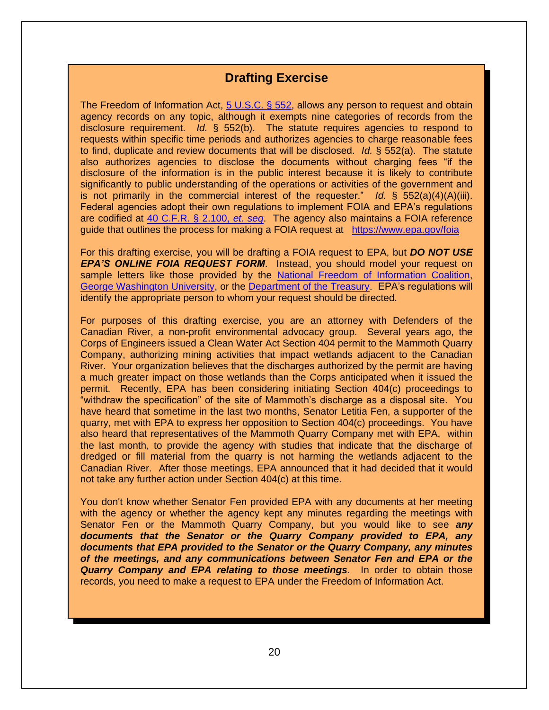#### **Drafting Exercise**

The Freedom of Information Act, [5 U.S.C. § 552,](http://www.law.cornell.edu/uscode/text/5/552) allows any person to request and obtain agency records on any topic, although it exempts nine categories of records from the disclosure requirement. *Id.* § 552(b). The statute requires agencies to respond to requests within specific time periods and authorizes agencies to charge reasonable fees to find, duplicate and review documents that will be disclosed. *Id.* § 552(a). The statute also authorizes agencies to disclose the documents without charging fees "if the disclosure of the information is in the public interest because it is likely to contribute significantly to public understanding of the operations or activities of the government and is not primarily in the commercial interest of the requester." *Id.* § 552(a)(4)(A)(iii). Federal agencies adopt their own regulations to implement FOIA and EPA's regulations are codified at [40 C.F.R. § 2.100,](https://www.ecfr.gov/cgi-bin/text-idx?SID=3a1ffcabdac3b04788a29bcf8c3da98c&node=40:1.0.1.1.2&rgn=div5) *et. seq*. The agency also maintains a FOIA reference guide that outlines the process for making a FOIA request at <https://www.epa.gov/foia>

For this drafting exercise, you will be drafting a FOIA request to EPA, but *DO NOT USE EPA'S ONLINE FOIA REQUEST FORM*. Instead, you should model your request on sample letters like those provided by the [National Freedom of Information Coalition,](http://www.nfoic.org/sample-foia-request-letters) [George Washington University,](https://web.archive.org/web/20150920210537/http:/nsarchive.gwu.edu/IMG/SampleFOIAletter.pdf) or the [Department of the Treasury.](https://web.archive.org/web/20150915000000*/http:/www.fincen.gov/foia/files/samplefoiaandparequest.pdf) EPA's regulations will identify the appropriate person to whom your request should be directed.

For purposes of this drafting exercise, you are an attorney with Defenders of the Canadian River, a non-profit environmental advocacy group. Several years ago, the Corps of Engineers issued a Clean Water Act Section 404 permit to the Mammoth Quarry Company, authorizing mining activities that impact wetlands adjacent to the Canadian River. Your organization believes that the discharges authorized by the permit are having a much greater impact on those wetlands than the Corps anticipated when it issued the permit. Recently, EPA has been considering initiating Section 404(c) proceedings to "withdraw the specification" of the site of Mammoth's discharge as a disposal site. You have heard that sometime in the last two months, Senator Letitia Fen, a supporter of the quarry, met with EPA to express her opposition to Section 404(c) proceedings. You have also heard that representatives of the Mammoth Quarry Company met with EPA, within the last month, to provide the agency with studies that indicate that the discharge of dredged or fill material from the quarry is not harming the wetlands adjacent to the Canadian River. After those meetings, EPA announced that it had decided that it would not take any further action under Section 404(c) at this time.

You don't know whether Senator Fen provided EPA with any documents at her meeting with the agency or whether the agency kept any minutes regarding the meetings with Senator Fen or the Mammoth Quarry Company, but you would like to see *any documents that the Senator or the Quarry Company provided to EPA, any documents that EPA provided to the Senator or the Quarry Company, any minutes of the meetings, and any communications between Senator Fen and EPA or the Quarry Company and EPA relating to those meetings*. In order to obtain those records, you need to make a request to EPA under the Freedom of Information Act.